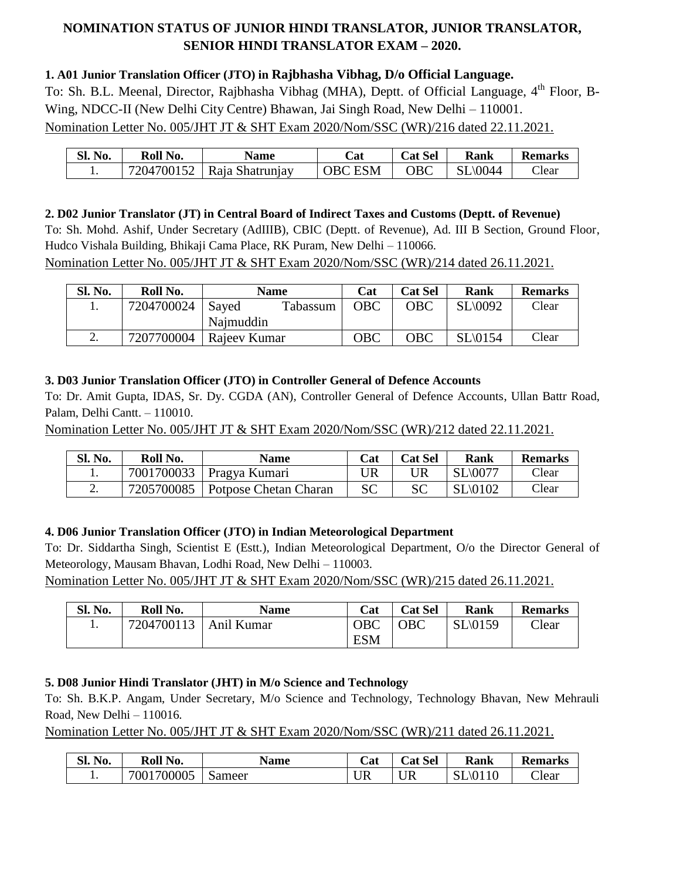# **NOMINATION STATUS OF JUNIOR HINDI TRANSLATOR, JUNIOR TRANSLATOR, SENIOR HINDI TRANSLATOR EXAM – 2020.**

### **1. A01 Junior Translation Officer (JTO) in Rajbhasha Vibhag, D/o Official Language.**

To: Sh. B.L. Meenal, Director, Rajbhasha Vibhag (MHA), Deptt. of Official Language, 4<sup>th</sup> Floor, B-Wing, NDCC-II (New Delhi City Centre) Bhawan, Jai Singh Road, New Delhi – 110001. Nomination Letter No. 005/JHT JT & SHT Exam 2020/Nom/SSC (WR)/216 dated 22.11.2021.

| SI.<br>No. | Roll No.   | <b>Name</b>     | $\mathbb{C}$ at   | t Sel<br>Cat | Rank | <b>Remarks</b> |
|------------|------------|-----------------|-------------------|--------------|------|----------------|
|            | 7204700152 | Raja Shatrunjay | <b>ESM</b><br>∩R∩ | ОВС          | 0044 | Clear          |

#### **2. D02 Junior Translator (JT) in Central Board of Indirect Taxes and Customs (Deptt. of Revenue)**

To: Sh. Mohd. Ashif, Under Secretary (AdIIIB), CBIC (Deptt. of Revenue), Ad. III B Section, Ground Floor, Hudco Vishala Building, Bhikaji Cama Place, RK Puram, New Delhi – 110066.

Nomination Letter No. 005/JHT JT & SHT Exam 2020/Nom/SSC (WR)/214 dated 26.11.2021.

| <b>Sl. No.</b> | Roll No.   | <b>Name</b>       | Cat | <b>Cat Sel</b> | Rank    | <b>Remarks</b> |
|----------------|------------|-------------------|-----|----------------|---------|----------------|
|                | 7204700024 | Saved<br>Tabassum | OBC | OBC            | SL\0092 | Clear          |
|                |            | Najmuddin         |     |                |         |                |
| <u>.</u>       | 7207700004 | Rajeev Kumar      | OBC | OBC            | SL\0154 | Clear          |

### **3. D03 Junior Translation Officer (JTO) in Controller General of Defence Accounts**

To: Dr. Amit Gupta, IDAS, Sr. Dy. CGDA (AN), Controller General of Defence Accounts, Ullan Battr Road, Palam, Delhi Cantt. – 110010.

Nomination Letter No. 005/JHT JT & SHT Exam 2020/Nom/SSC (WR)/212 dated 22.11.2021.

| Sl. No. | Roll No.   | <b>Name</b>           | Cat | <b>Cat Sel</b> | Rank                | <b>Remarks</b> |
|---------|------------|-----------------------|-----|----------------|---------------------|----------------|
| ı.      | 7001700033 | Pragya Kumari         |     | UR             | $SL\backslash 0077$ | Clear          |
| ۷.      | 7205700085 | Potpose Chetan Charan | SС  | SС             | $SL\setminus 0102$  | $\gamma$ lear  |

### **4. D06 Junior Translation Officer (JTO) in Indian Meteorological Department**

To: Dr. Siddartha Singh, Scientist E (Estt.), Indian Meteorological Department, O/o the Director General of Meteorology, Mausam Bhavan, Lodhi Road, New Delhi – 110003.

Nomination Letter No. 005/JHT JT & SHT Exam 2020/Nom/SSC (WR)/215 dated 26.11.2021.

| <b>Sl. No.</b> | Roll No.   | <b>Name</b> | Cat        | <b>Cat Sel</b> | Rank     | <b>Remarks</b> |
|----------------|------------|-------------|------------|----------------|----------|----------------|
|                | 7204700113 | Anil Kumar  | OBC        | <b>OBC</b>     | SL(0159) | Clear          |
|                |            |             | <b>ESM</b> |                |          |                |

### **5. D08 Junior Hindi Translator (JHT) in M/o Science and Technology**

To: Sh. B.K.P. Angam, Under Secretary, M/o Science and Technology, Technology Bhavan, New Mehrauli Road, New Delhi – 110016.

Nomination Letter No. 005/JHT JT & SHT Exam 2020/Nom/SSC (WR)/211 dated 26.11.2021.

| Sl.<br>No. | Roll No.   | <b>Name</b> | at        | <b>Cat Sel</b> | Rank               | <b>Remarks</b> |
|------------|------------|-------------|-----------|----------------|--------------------|----------------|
| . .        | 7001700005 | Sameer      | <b>UR</b> | <b>UR</b>      | $SL\setminus 0110$ | Clear          |